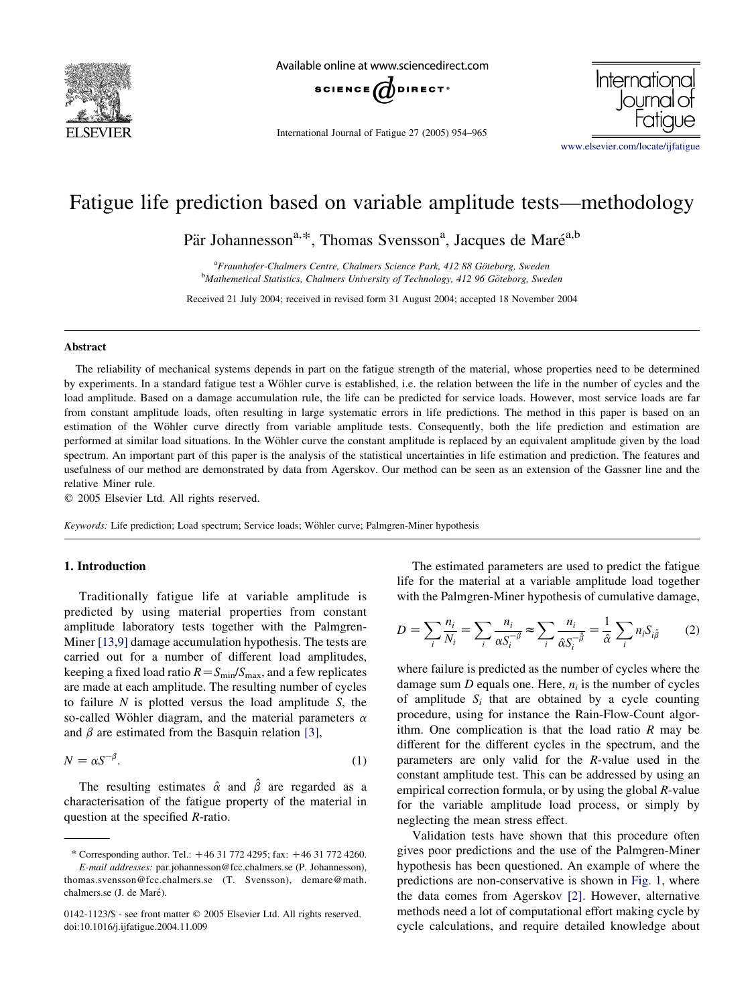

Available online at www.sciencedirect.com



International Journal of Fatigue 27 (2005) 954–965

Internationa -lournal of

[www.elsevier.com/locate/ijfatigue](http://www.elsevier.com/locate/ijfatigue)

# Fatigue life prediction based on variable amplitude tests—methodology

Pär Johannesson<sup>a,\*</sup>, Thomas Svensson<sup>a</sup>, Jacques de Maré<sup>a,b</sup>

<sup>a</sup>Fraunhofer-Chalmers Centre, Chalmers Science Park, 412 88 Göteborg, Sweden **b**Mathemetical Statistics, Chalmers University of Technology, 412 96 Göteborg, Sweden

Received 21 July 2004; received in revised form 31 August 2004; accepted 18 November 2004

#### Abstract

The reliability of mechanical systems depends in part on the fatigue strength of the material, whose properties need to be determined by experiments. In a standard fatigue test a Wöhler curve is established, i.e. the relation between the life in the number of cycles and the load amplitude. Based on a damage accumulation rule, the life can be predicted for service loads. However, most service loads are far from constant amplitude loads, often resulting in large systematic errors in life predictions. The method in this paper is based on an estimation of the Wöhler curve directly from variable amplitude tests. Consequently, both the life prediction and estimation are performed at similar load situations. In the Wöhler curve the constant amplitude is replaced by an equivalent amplitude given by the load spectrum. An important part of this paper is the analysis of the statistical uncertainties in life estimation and prediction. The features and usefulness of our method are demonstrated by data from Agerskov. Our method can be seen as an extension of the Gassner line and the relative Miner rule.

 $© 2005 Elsevier Ltd. All rights reserved.$ 

Keywords: Life prediction; Load spectrum; Service loads; Wöhler curve; Palmgren-Miner hypothesis

## 1. Introduction

Traditionally fatigue life at variable amplitude is predicted by using material properties from constant amplitude laboratory tests together with the Palmgren-Miner [\[13,9\]](#page-11-0) damage accumulation hypothesis. The tests are carried out for a number of different load amplitudes, keeping a fixed load ratio  $R = S_{\text{min}}/S_{\text{max}}$ , and a few replicates are made at each amplitude. The resulting number of cycles to failure  $N$  is plotted versus the load amplitude  $S$ , the so-called Wöhler diagram, and the material parameters  $\alpha$ and  $\beta$  are estimated from the Basquin relation [\[3\]](#page-10-0),

$$
N = \alpha S^{-\beta}.\tag{1}
$$

The resulting estimates  $\hat{\alpha}$  and  $\hat{\beta}$  are regarded as a characterisation of the fatigue property of the material in question at the specified R-ratio.

The estimated parameters are used to predict the fatigue life for the material at a variable amplitude load together with the Palmgren-Miner hypothesis of cumulative damage,

$$
D = \sum_{i} \frac{n_i}{N_i} = \sum_{i} \frac{n_i}{\alpha S_i^{-\beta}} \approx \sum_{i} \frac{n_i}{\hat{\alpha} S_i^{-\hat{\beta}}} = \frac{1}{\hat{\alpha}} \sum_{i} n_i S_{i\hat{\beta}} \qquad (2)
$$

where failure is predicted as the number of cycles where the damage sum  $D$  equals one. Here,  $n_i$  is the number of cycles of amplitude  $S_i$  that are obtained by a cycle counting procedure, using for instance the Rain-Flow-Count algorithm. One complication is that the load ratio  *may be* different for the different cycles in the spectrum, and the parameters are only valid for the R-value used in the constant amplitude test. This can be addressed by using an empirical correction formula, or by using the global R-value for the variable amplitude load process, or simply by neglecting the mean stress effect.

Validation tests have shown that this procedure often gives poor predictions and the use of the Palmgren-Miner hypothesis has been questioned. An example of where the predictions are non-conservative is shown in [Fig. 1,](#page-1-0) where the data comes from Agerskov [\[2\]](#page-10-0). However, alternative methods need a lot of computational effort making cycle by cycle calculations, and require detailed knowledge about

<sup>\*</sup> Corresponding author. Tel.:  $+46317724295$ ; fax:  $+46317724260$ . E-mail addresses: par.johannesson@fcc.chalmers.se (P. Johannesson), thomas.svensson@fcc.chalmers.se (T. Svensson), demare@math. chalmers.se (J. de Maré).

<sup>0142-1123/\$ -</sup> see front matter © 2005 Elsevier Ltd. All rights reserved. doi:10.1016/j.ijfatigue.2004.11.009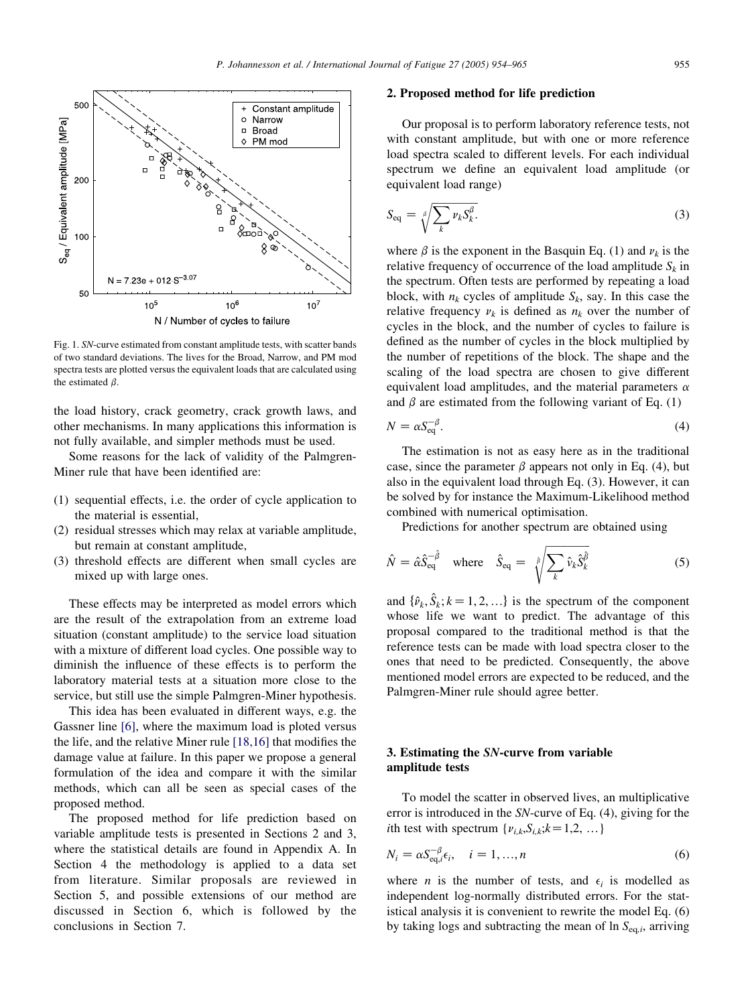<span id="page-1-0"></span>

Fig. 1. SN-curve estimated from constant amplitude tests, with scatter bands of two standard deviations. The lives for the Broad, Narrow, and PM mod spectra tests are plotted versus the equivalent loads that are calculated using the estimated  $\beta$ .

the load history, crack geometry, crack growth laws, and other mechanisms. In many applications this information is not fully available, and simpler methods must be used.

Some reasons for the lack of validity of the Palmgren-Miner rule that have been identified are:

- (1) sequential effects, i.e. the order of cycle application to the material is essential,
- (2) residual stresses which may relax at variable amplitude, but remain at constant amplitude,
- (3) threshold effects are different when small cycles are mixed up with large ones.

These effects may be interpreted as model errors which are the result of the extrapolation from an extreme load situation (constant amplitude) to the service load situation with a mixture of different load cycles. One possible way to diminish the influence of these effects is to perform the laboratory material tests at a situation more close to the service, but still use the simple Palmgren-Miner hypothesis.

This idea has been evaluated in different ways, e.g. the Gassner line [\[6\]](#page-10-0), where the maximum load is ploted versus the life, and the relative Miner rule [\[18,16\]](#page-11-0) that modifies the damage value at failure. In this paper we propose a general formulation of the idea and compare it with the similar methods, which can all be seen as special cases of the proposed method.

The proposed method for life prediction based on variable amplitude tests is presented in Sections 2 and 3, where the statistical details are found in Appendix A. In Section 4 the methodology is applied to a data set from literature. Similar proposals are reviewed in Section 5, and possible extensions of our method are discussed in Section 6, which is followed by the conclusions in Section 7.

## 2. Proposed method for life prediction

Our proposal is to perform laboratory reference tests, not with constant amplitude, but with one or more reference load spectra scaled to different levels. For each individual spectrum we define an equivalent load amplitude (or equivalent load range)

$$
S_{\text{eq}} = \sqrt[\beta]{\sum_{k} \nu_k S_k^{\beta}}.
$$
 (3)

where  $\beta$  is the exponent in the Basquin Eq. (1) and  $v_k$  is the relative frequency of occurrence of the load amplitude  $S_k$  in the spectrum. Often tests are performed by repeating a load block, with  $n_k$  cycles of amplitude  $S_k$ , say. In this case the relative frequency  $v_k$  is defined as  $n_k$  over the number of cycles in the block, and the number of cycles to failure is defined as the number of cycles in the block multiplied by the number of repetitions of the block. The shape and the scaling of the load spectra are chosen to give different equivalent load amplitudes, and the material parameters  $\alpha$ and  $\beta$  are estimated from the following variant of Eq. (1)

$$
N = \alpha S_{\text{eq}}^{-\beta}.
$$

The estimation is not as easy here as in the traditional case, since the parameter  $\beta$  appears not only in Eq. (4), but also in the equivalent load through Eq. (3). However, it can be solved by for instance the Maximum-Likelihood method combined with numerical optimisation.

Predictions for another spectrum are obtained using

$$
\hat{N} = \hat{\alpha} \hat{S}_{\text{eq}}^{-\hat{\beta}} \quad \text{where} \quad \hat{S}_{\text{eq}} = \sqrt[\hat{\beta}]{\sum_{k} \hat{v}_{k} \hat{S}_{k}^{\hat{\beta}}} \tag{5}
$$

and  $\{\hat{v}_k, \hat{S}_k; k=1, 2, \ldots\}$  is the spectrum of the component whose life we want to predict. The advantage of this proposal compared to the traditional method is that the reference tests can be made with load spectra closer to the ones that need to be predicted. Consequently, the above mentioned model errors are expected to be reduced, and the Palmgren-Miner rule should agree better.

# 3. Estimating the SN-curve from variable amplitude tests

To model the scatter in observed lives, an multiplicative error is introduced in the SN-curve of Eq. (4), giving for the *i*th test with spectrum  $\{v_{i,k},S_{i,k};k=1,2,\ldots\}$ 

$$
N_i = \alpha S_{\text{eq},i}^{-\beta} \epsilon_i, \quad i = 1, ..., n \tag{6}
$$

where *n* is the number of tests, and  $\epsilon_i$  is modelled as independent log-normally distributed errors. For the statistical analysis it is convenient to rewrite the model Eq. (6) by taking logs and subtracting the mean of ln  $S_{eq,i}$ , arriving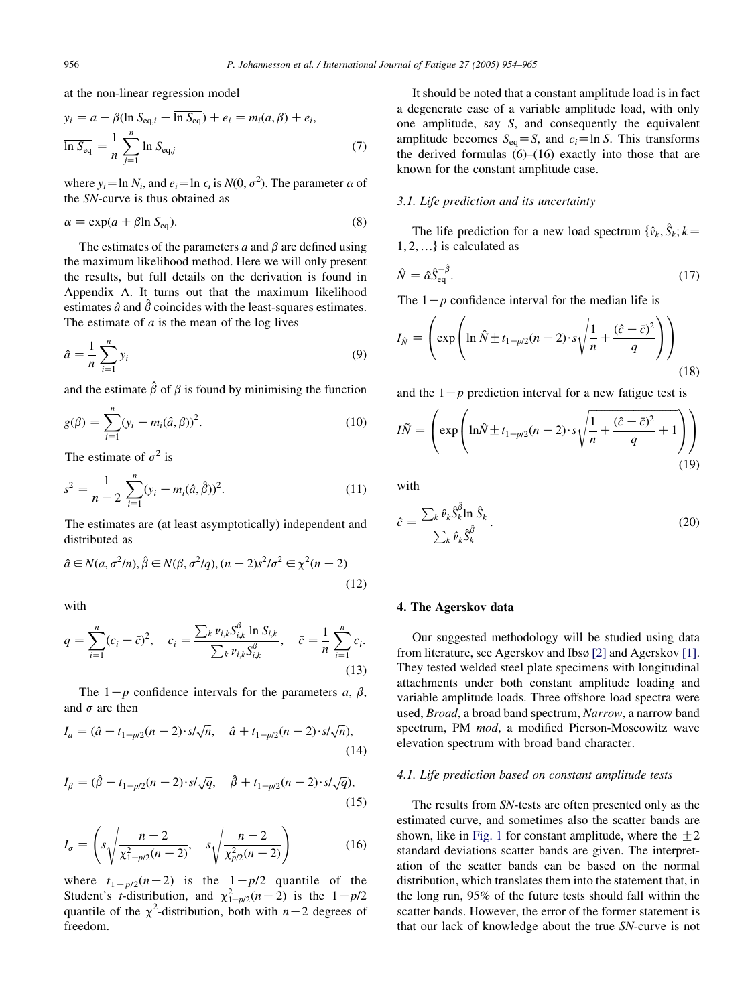at the non-linear regression model

$$
y_i = a - \beta (\ln S_{\text{eq},i} - \overline{\ln S_{\text{eq}}}) + e_i = m_i(a, \beta) + e_i,
$$
  

$$
\overline{\ln S_{\text{eq}}} = \frac{1}{n} \sum_{j=1}^n \ln S_{\text{eq},j}
$$
 (7)

where  $y_i = \ln N_i$ , and  $e_i = \ln \epsilon_i$  is  $N(0, \sigma^2)$ . The parameter  $\alpha$  of the SN-curve is thus obtained as

$$
\alpha = \exp(a + \beta \overline{\ln S_{\text{eq}}}).\tag{8}
$$

The estimates of the parameters a and  $\beta$  are defined using the maximum likelihood method. Here we will only present the results, but full details on the derivation is found in Appendix A. It turns out that the maximum likelihood estimates  $\hat{a}$  and  $\hat{\beta}$  coincides with the least-squares estimates. The estimate of  $a$  is the mean of the log lives

$$
\hat{a} = \frac{1}{n} \sum_{i=1}^{n} y_i \tag{9}
$$

and the estimate  $\hat{\beta}$  of  $\beta$  is found by minimising the function

$$
g(\beta) = \sum_{i=1}^{n} (y_i - m_i(\hat{a}, \beta))^2.
$$
 (10)

The estimate of  $\sigma^2$  is

$$
s^{2} = \frac{1}{n-2} \sum_{i=1}^{n} (y_{i} - m_{i}(\hat{a}, \hat{\beta}))^{2}.
$$
 (11)

The estimates are (at least asymptotically) independent and distributed as

$$
\hat{a} \in N(a, \sigma^2/n), \hat{\beta} \in N(\beta, \sigma^2/q), (n-2)s^2/\sigma^2 \in \chi^2(n-2)
$$
\n(12)

with

$$
q = \sum_{i=1}^{n} (c_i - \bar{c})^2, \quad c_i = \frac{\sum_k \nu_{i,k} S_{i,k}^{\beta} \ln S_{i,k}}{\sum_k \nu_{i,k} S_{i,k}^{\beta}}, \quad \bar{c} = \frac{1}{n} \sum_{i=1}^{n} c_i.
$$
\n(13)

The  $1-p$  confidence intervals for the parameters a,  $\beta$ , and  $\sigma$  are then

$$
I_a = (\hat{a} - t_{1-p/2}(n-2) \cdot s/\sqrt{n}, \quad \hat{a} + t_{1-p/2}(n-2) \cdot s/\sqrt{n}),
$$
\n(14)

$$
I_{\beta} = (\hat{\beta} - t_{1-p/2}(n-2) \cdot s/\sqrt{q}, \quad \hat{\beta} + t_{1-p/2}(n-2) \cdot s/\sqrt{q}),
$$
\n(15)

$$
I_{\sigma} = \left(s\sqrt{\frac{n-2}{\chi_{1-p/2}^2(n-2)}}, \quad s\sqrt{\frac{n-2}{\chi_{p/2}^2(n-2)}}\right)
$$
(16)

where  $t_{1-p/2}(n-2)$  is the  $1-p/2$  quantile of the Student's *t*-distribution, and  $\chi^2_{1-p/2}(n-2)$  is the  $1-p/2$ quantile of the  $\chi^2$ -distribution, both with  $n-2$  degrees of freedom.

It should be noted that a constant amplitude load is in fact a degenerate case of a variable amplitude load, with only one amplitude, say S, and consequently the equivalent amplitude becomes  $S_{eq} = S$ , and  $c_i = \ln S$ . This transforms the derived formulas  $(6)$ – $(16)$  exactly into those that are known for the constant amplitude case.

# 3.1. Life prediction and its uncertainty

The life prediction for a new load spectrum  $\{\hat{v}_k, \hat{S}_k; k=\}$  $1, 2, \ldots$  is calculated as

$$
\hat{N} = \hat{\alpha} \hat{S}_{\text{eq}}^{-\hat{\beta}}.
$$
\n(17)

The  $1-p$  confidence interval for the median life is

$$
I_{\hat{N}} = \left( \exp\left(\ln \hat{N} \pm t_{1-p/2}(n-2) \cdot s \sqrt{\frac{1}{n} + \frac{(\hat{c} - \bar{c})^2}{q}}\right) \right)
$$
(18)

and the  $1-p$  prediction interval for a new fatigue test is

$$
I\tilde{N} = \left(\exp\left(\ln\hat{N} \pm t_{1-p/2}(n-2) \cdot s\sqrt{\frac{1}{n} + \frac{(\hat{c} - \bar{c})^2}{q} + 1}\right)\right)
$$
(19)

with

$$
\hat{c} = \frac{\sum_{k} \hat{v}_{k} \hat{S}_{k}^{\hat{\beta}} \ln \hat{S}_{k}}{\sum_{k} \hat{v}_{k} \hat{S}_{k}^{\hat{\beta}}}.
$$
\n(20)

## 4. The Agerskov data

Our suggested methodology will be studied using data from literature, see Agerskov and Ibsø [\[2\]](#page-10-0) and Agerskov [\[1\]](#page-10-0). They tested welded steel plate specimens with longitudinal attachments under both constant amplitude loading and variable amplitude loads. Three offshore load spectra were used, Broad, a broad band spectrum, Narrow, a narrow band spectrum, PM mod, a modified Pierson-Moscowitz wave elevation spectrum with broad band character.

#### 4.1. Life prediction based on constant amplitude tests

The results from SN-tests are often presented only as the estimated curve, and sometimes also the scatter bands are shown, like in [Fig. 1](#page-1-0) for constant amplitude, where the  $\pm 2$ standard deviations scatter bands are given. The interpretation of the scatter bands can be based on the normal distribution, which translates them into the statement that, in the long run, 95% of the future tests should fall within the scatter bands. However, the error of the former statement is that our lack of knowledge about the true SN-curve is not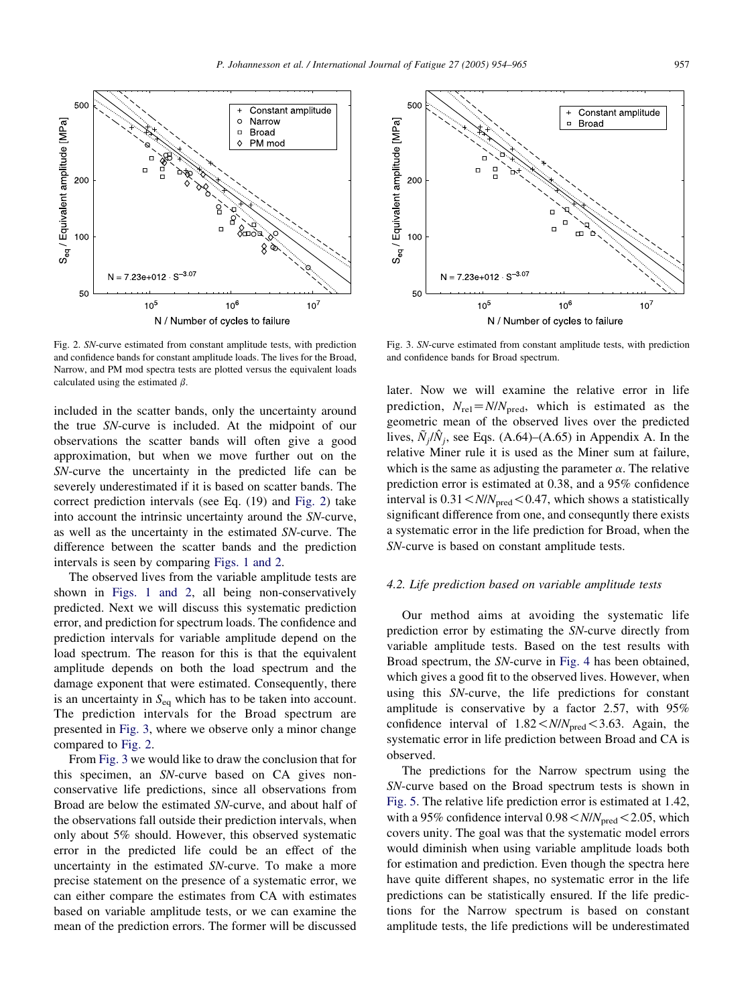

Fig. 2. SN-curve estimated from constant amplitude tests, with prediction and confidence bands for constant amplitude loads. The lives for the Broad, Narrow, and PM mod spectra tests are plotted versus the equivalent loads calculated using the estimated  $\beta$ .

included in the scatter bands, only the uncertainty around the true SN-curve is included. At the midpoint of our observations the scatter bands will often give a good approximation, but when we move further out on the SN-curve the uncertainty in the predicted life can be severely underestimated if it is based on scatter bands. The correct prediction intervals (see Eq. (19) and Fig. 2) take into account the intrinsic uncertainty around the SN-curve, as well as the uncertainty in the estimated SN-curve. The difference between the scatter bands and the prediction intervals is seen by comparing [Figs. 1 and 2](#page-1-0).

The observed lives from the variable amplitude tests are shown in [Figs. 1 and 2](#page-1-0), all being non-conservatively predicted. Next we will discuss this systematic prediction error, and prediction for spectrum loads. The confidence and prediction intervals for variable amplitude depend on the load spectrum. The reason for this is that the equivalent amplitude depends on both the load spectrum and the damage exponent that were estimated. Consequently, there is an uncertainty in  $S_{eq}$  which has to be taken into account. The prediction intervals for the Broad spectrum are presented in Fig. 3, where we observe only a minor change compared to Fig. 2.

From Fig. 3 we would like to draw the conclusion that for this specimen, an SN-curve based on CA gives nonconservative life predictions, since all observations from Broad are below the estimated SN-curve, and about half of the observations fall outside their prediction intervals, when only about 5% should. However, this observed systematic error in the predicted life could be an effect of the uncertainty in the estimated SN-curve. To make a more precise statement on the presence of a systematic error, we can either compare the estimates from CA with estimates based on variable amplitude tests, or we can examine the mean of the prediction errors. The former will be discussed



Fig. 3. SN-curve estimated from constant amplitude tests, with prediction and confidence bands for Broad spectrum.

later. Now we will examine the relative error in life prediction,  $N_{\text{rel}} = N/N_{\text{pred}}$ , which is estimated as the geometric mean of the observed lives over the predicted lives,  $\tilde{N}_i/\tilde{N}_i$ , see Eqs. (A.64)–(A.65) in Appendix A. In the relative Miner rule it is used as the Miner sum at failure, which is the same as adjusting the parameter  $\alpha$ . The relative prediction error is estimated at 0.38, and a 95% confidence interval is  $0.31 \leq N/N_{\text{pred}} \leq 0.47$ , which shows a statistically significant difference from one, and consequntly there exists a systematic error in the life prediction for Broad, when the SN-curve is based on constant amplitude tests.

# 4.2. Life prediction based on variable amplitude tests

Our method aims at avoiding the systematic life prediction error by estimating the SN-curve directly from variable amplitude tests. Based on the test results with Broad spectrum, the SN-curve in [Fig. 4](#page-4-0) has been obtained, which gives a good fit to the observed lives. However, when using this SN-curve, the life predictions for constant amplitude is conservative by a factor 2.57, with 95% confidence interval of  $1.82 \leq N/N_{\text{pred}} \leq 3.63$ . Again, the systematic error in life prediction between Broad and CA is observed.

The predictions for the Narrow spectrum using the SN-curve based on the Broad spectrum tests is shown in [Fig. 5.](#page-4-0) The relative life prediction error is estimated at 1.42, with a 95% confidence interval  $0.98 \leq N/N_{\text{pred}} \leq 2.05$ , which covers unity. The goal was that the systematic model errors would diminish when using variable amplitude loads both for estimation and prediction. Even though the spectra here have quite different shapes, no systematic error in the life predictions can be statistically ensured. If the life predictions for the Narrow spectrum is based on constant amplitude tests, the life predictions will be underestimated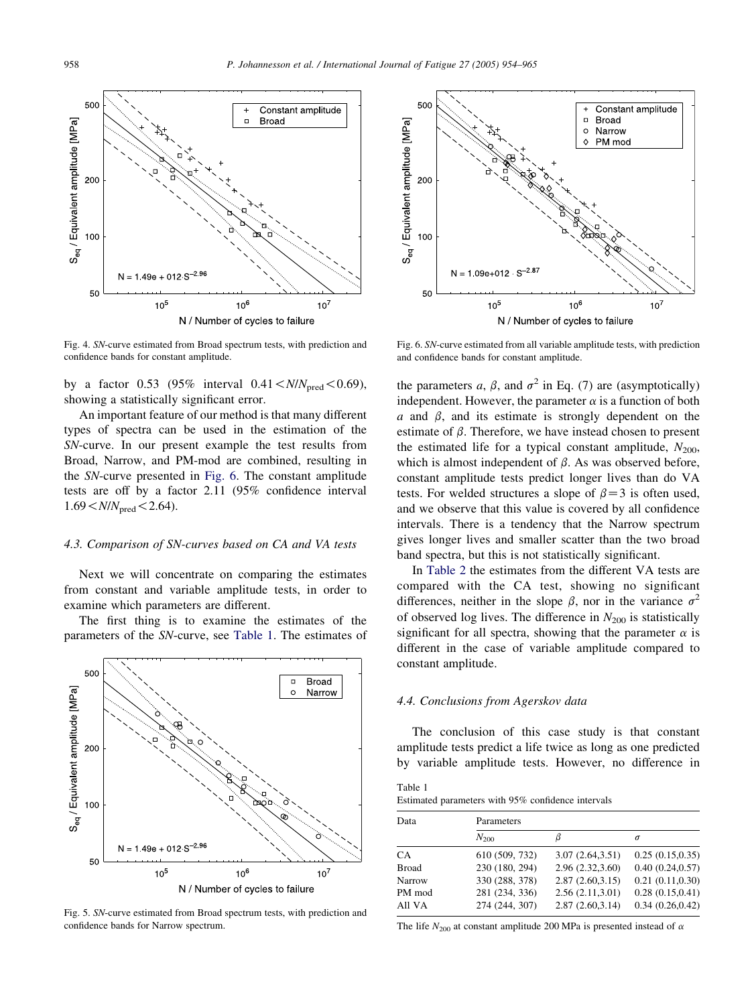<span id="page-4-0"></span>

Fig. 4. SN-curve estimated from Broad spectrum tests, with prediction and confidence bands for constant amplitude.

by a factor 0.53 (95% interval  $0.41 < N/N_{\text{pred}} < 0.69$ ), showing a statistically significant error.

An important feature of our method is that many different types of spectra can be used in the estimation of the SN-curve. In our present example the test results from Broad, Narrow, and PM-mod are combined, resulting in the SN-curve presented in Fig. 6. The constant amplitude tests are off by a factor 2.11 (95% confidence interval  $1.69 < N/N_{\text{pred}} < 2.64$ ).

#### 4.3. Comparison of SN-curves based on CA and VA tests

Next we will concentrate on comparing the estimates from constant and variable amplitude tests, in order to examine which parameters are different.

The first thing is to examine the estimates of the parameters of the SN-curve, see Table 1. The estimates of



Fig. 5. SN-curve estimated from Broad spectrum tests, with prediction and confidence bands for Narrow spectrum.



Fig. 6. SN-curve estimated from all variable amplitude tests, with prediction and confidence bands for constant amplitude.

the parameters a,  $\beta$ , and  $\sigma^2$  in Eq. (7) are (asymptotically) independent. However, the parameter  $\alpha$  is a function of both a and  $\beta$ , and its estimate is strongly dependent on the estimate of  $\beta$ . Therefore, we have instead chosen to present the estimated life for a typical constant amplitude,  $N_{200}$ , which is almost independent of  $\beta$ . As was observed before, constant amplitude tests predict longer lives than do VA tests. For welded structures a slope of  $\beta$  = 3 is often used, and we observe that this value is covered by all confidence intervals. There is a tendency that the Narrow spectrum gives longer lives and smaller scatter than the two broad band spectra, but this is not statistically significant.

In [Table 2](#page-5-0) the estimates from the different VA tests are compared with the CA test, showing no significant differences, neither in the slope  $\beta$ , nor in the variance  $\sigma^2$ of observed log lives. The difference in  $N_{200}$  is statistically significant for all spectra, showing that the parameter  $\alpha$  is different in the case of variable amplitude compared to constant amplitude.

## 4.4. Conclusions from Agerskov data

The conclusion of this case study is that constant amplitude tests predict a life twice as long as one predicted by variable amplitude tests. However, no difference in

Table 1 Estimated parameters with 95% confidence intervals

| Data         | Parameters     |                  |                  |  |
|--------------|----------------|------------------|------------------|--|
|              | $N_{200}$      | ß                | σ                |  |
| <b>CA</b>    | 610 (509, 732) | 3.07(2.64, 3.51) | 0.25(0.15, 0.35) |  |
| <b>Broad</b> | 230 (180, 294) | 2.96 (2.32,3.60) | 0.40(0.24, 0.57) |  |
| Narrow       | 330 (288, 378) | 2.87(2.60, 3.15) | 0.21(0.11, 0.30) |  |
| PM mod       | 281 (234, 336) | 2.56(2.11,3.01)  | 0.28(0.15, 0.41) |  |
| All VA       | 274 (244, 307) | 2.87(2.60, 3.14) | 0.34(0.26, 0.42) |  |

The life  $N_{200}$  at constant amplitude 200 MPa is presented instead of  $\alpha$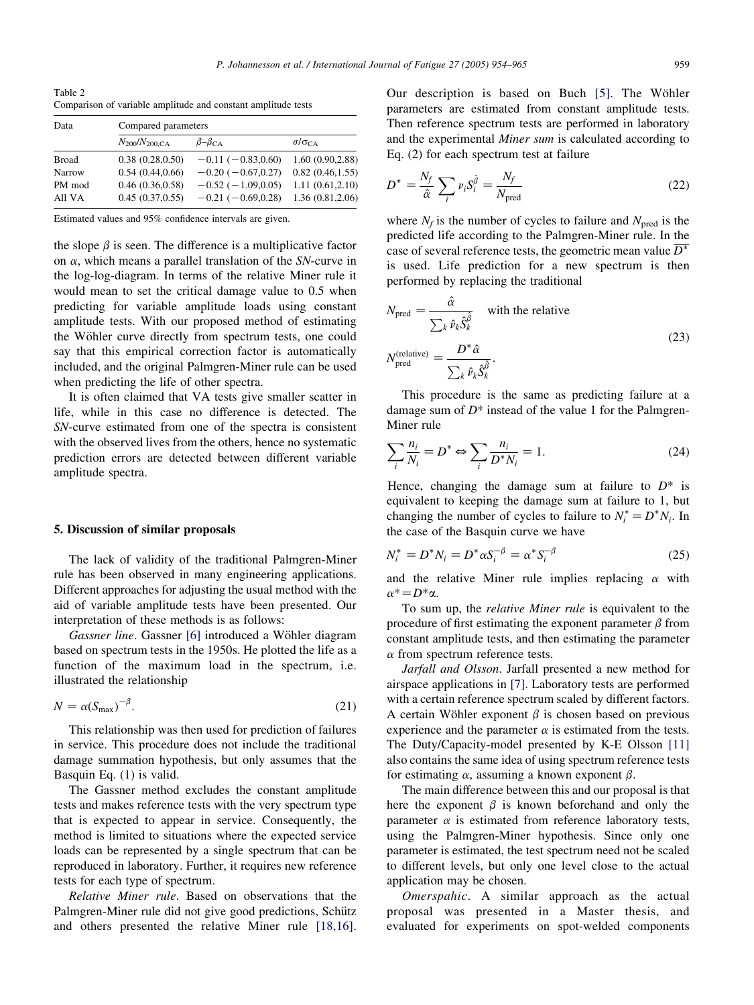<span id="page-5-0"></span>Table 2 Comparison of variable amplitude and constant amplitude tests

| Data         | Compared parameters  |                           |                      |  |
|--------------|----------------------|---------------------------|----------------------|--|
|              | $N_{200}/N_{200,CA}$ | $\beta-\beta_{\text{CA}}$ | $\sigma/\sigma_{CA}$ |  |
| <b>Broad</b> | 0.38(0.28, 0.50)     | $-0.11(-0.83, 0.60)$      | 1.60(0.90, 2.88)     |  |
| Narrow       | 0.54(0.44, 0.66)     | $-0.20(-0.67,0.27)$       | 0.82(0.46, 1.55)     |  |
| PM mod       | 0.46(0.36, 0.58)     | $-0.52(-1.09, 0.05)$      | 1.11(0.61, 2.10)     |  |
| All VA       | 0.45(0.37, 0.55)     | $-0.21(-0.69, 0.28)$      | 1.36(0.81, 2.06)     |  |

Estimated values and 95% confidence intervals are given.

the slope  $\beta$  is seen. The difference is a multiplicative factor on  $\alpha$ , which means a parallel translation of the SN-curve in the log-log-diagram. In terms of the relative Miner rule it would mean to set the critical damage value to 0.5 when predicting for variable amplitude loads using constant amplitude tests. With our proposed method of estimating the Wöhler curve directly from spectrum tests, one could say that this empirical correction factor is automatically included, and the original Palmgren-Miner rule can be used when predicting the life of other spectra.

It is often claimed that VA tests give smaller scatter in life, while in this case no difference is detected. The SN-curve estimated from one of the spectra is consistent with the observed lives from the others, hence no systematic prediction errors are detected between different variable amplitude spectra.

#### 5. Discussion of similar proposals

The lack of validity of the traditional Palmgren-Miner rule has been observed in many engineering applications. Different approaches for adjusting the usual method with the aid of variable amplitude tests have been presented. Our interpretation of these methods is as follows:

Gassner line. Gassner [\[6\]](#page-10-0) introduced a Wöhler diagram based on spectrum tests in the 1950s. He plotted the life as a function of the maximum load in the spectrum, i.e. illustrated the relationship

$$
N = \alpha (S_{\text{max}})^{-\beta}.
$$
 (21)

This relationship was then used for prediction of failures in service. This procedure does not include the traditional damage summation hypothesis, but only assumes that the Basquin Eq. (1) is valid.

The Gassner method excludes the constant amplitude tests and makes reference tests with the very spectrum type that is expected to appear in service. Consequently, the method is limited to situations where the expected service loads can be represented by a single spectrum that can be reproduced in laboratory. Further, it requires new reference tests for each type of spectrum.

Relative Miner rule. Based on observations that the Palmgren-Miner rule did not give good predictions, Schütz and others presented the relative Miner rule [\[18,16\]](#page-11-0).

Our description is based on Buch [\[5\].](#page-10-0) The Wöhler parameters are estimated from constant amplitude tests. Then reference spectrum tests are performed in laboratory and the experimental Miner sum is calculated according to Eq. (2) for each spectrum test at failure

$$
D^* = \frac{N_f}{\hat{\alpha}} \sum_i \nu_i S_i^{\hat{\beta}} = \frac{N_f}{N_{\text{pred}}}
$$
(22)

where  $N_f$  is the number of cycles to failure and  $N_{pred}$  is the predicted life according to the Palmgren-Miner rule. In the case of several reference tests, the geometric mean value  $\overline{D^*}$ is used. Life prediction for a new spectrum is then performed by replacing the traditional

$$
N_{\text{pred}} = \frac{\hat{\alpha}}{\sum_{k} \hat{\nu}_{k} \hat{S}_{k}^{\hat{\beta}}} \quad \text{with the relative}
$$
\n
$$
N_{\text{pred}}^{\text{(relative)}} = \frac{D^* \hat{\alpha}}{\sum_{k} \hat{\nu}_{k} \hat{S}_{k}^{\hat{\beta}}}.
$$
\n(23)

This procedure is the same as predicting failure at a damage sum of  $D^*$  instead of the value 1 for the Palmgren-Miner rule

$$
\sum_{i} \frac{n_i}{N_i} = D^* \Leftrightarrow \sum_{i} \frac{n_i}{D^* N_i} = 1.
$$
\n(24)

Hence, changing the damage sum at failure to  $D^*$  is equivalent to keeping the damage sum at failure to 1, but changing the number of cycles to failure to  $N_i^* = D^* N_i$ . In the case of the Basquin curve we have

$$
N_i^* = D^* N_i = D^* \alpha S_i^{-\beta} = \alpha^* S_i^{-\beta}
$$
 (25)

and the relative Miner rule implies replacing  $\alpha$  with  $\alpha^*$ =D<sup>\*</sup>a.

To sum up, the relative Miner rule is equivalent to the procedure of first estimating the exponent parameter  $\beta$  from constant amplitude tests, and then estimating the parameter  $\alpha$  from spectrum reference tests.

Jarfall and Olsson. Jarfall presented a new method for airspace applications in [\[7\].](#page-10-0) Laboratory tests are performed with a certain reference spectrum scaled by different factors. A certain Wöhler exponent  $\beta$  is chosen based on previous experience and the parameter  $\alpha$  is estimated from the tests. The Duty/Capacity-model presented by K-E Olsson [\[11\]](#page-11-0) also contains the same idea of using spectrum reference tests for estimating  $\alpha$ , assuming a known exponent  $\beta$ .

The main difference between this and our proposal is that here the exponent  $\beta$  is known beforehand and only the parameter  $\alpha$  is estimated from reference laboratory tests, using the Palmgren-Miner hypothesis. Since only one parameter is estimated, the test spectrum need not be scaled to different levels, but only one level close to the actual application may be chosen.

Omerspahic. A similar approach as the actual proposal was presented in a Master thesis, and evaluated for experiments on spot-welded components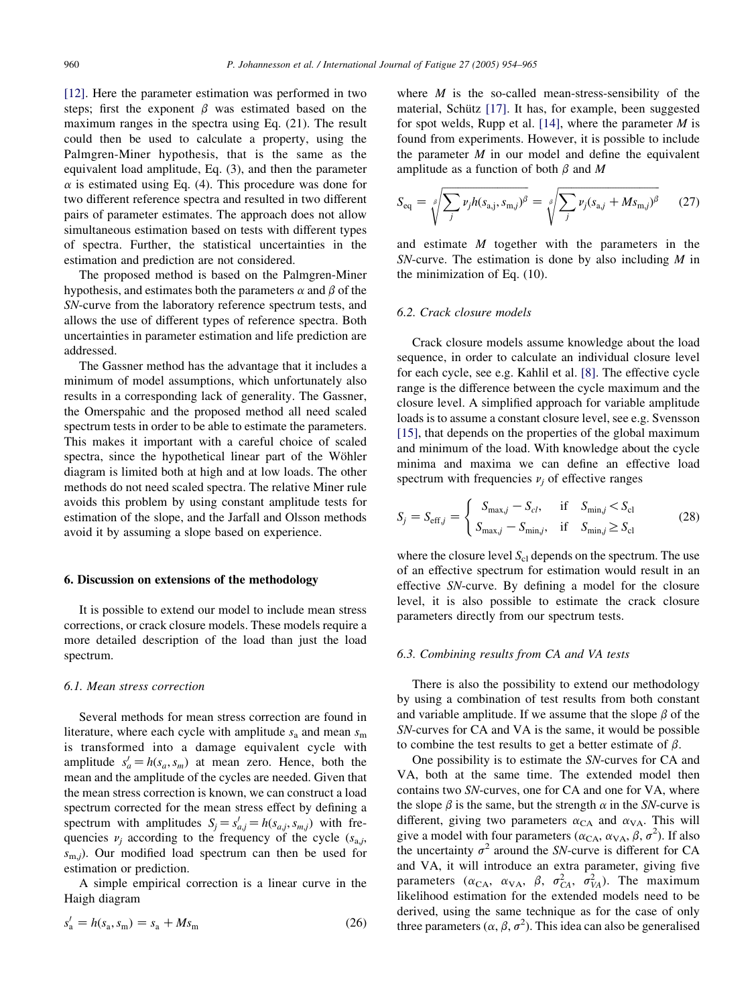[\[12\]](#page-11-0). Here the parameter estimation was performed in two steps; first the exponent  $\beta$  was estimated based on the maximum ranges in the spectra using Eq. (21). The result could then be used to calculate a property, using the Palmgren-Miner hypothesis, that is the same as the equivalent load amplitude, Eq. (3), and then the parameter  $\alpha$  is estimated using Eq. (4). This procedure was done for two different reference spectra and resulted in two different pairs of parameter estimates. The approach does not allow simultaneous estimation based on tests with different types of spectra. Further, the statistical uncertainties in the estimation and prediction are not considered.

The proposed method is based on the Palmgren-Miner hypothesis, and estimates both the parameters  $\alpha$  and  $\beta$  of the SN-curve from the laboratory reference spectrum tests, and allows the use of different types of reference spectra. Both uncertainties in parameter estimation and life prediction are addressed.

The Gassner method has the advantage that it includes a minimum of model assumptions, which unfortunately also results in a corresponding lack of generality. The Gassner, the Omerspahic and the proposed method all need scaled spectrum tests in order to be able to estimate the parameters. This makes it important with a careful choice of scaled spectra, since the hypothetical linear part of the Wöhler diagram is limited both at high and at low loads. The other methods do not need scaled spectra. The relative Miner rule avoids this problem by using constant amplitude tests for estimation of the slope, and the Jarfall and Olsson methods avoid it by assuming a slope based on experience.

## 6. Discussion on extensions of the methodology

It is possible to extend our model to include mean stress corrections, or crack closure models. These models require a more detailed description of the load than just the load spectrum.

#### 6.1. Mean stress correction

Several methods for mean stress correction are found in literature, where each cycle with amplitude  $s_a$  and mean  $s_m$ is transformed into a damage equivalent cycle with amplitude  $s'_a = h(s_a, s_m)$  at mean zero. Hence, both the mean and the amplitude of the cycles are needed. Given that the mean stress correction is known, we can construct a load spectrum corrected for the mean stress effect by defining a spectrum with amplitudes  $S_j = s'_{aj} = h(s_{aj}, s_{mj})$  with frequencies  $v_i$  according to the frequency of the cycle ( $s_{a,i}$ ,  $s_{m,i}$ ). Our modified load spectrum can then be used for estimation or prediction.

A simple empirical correction is a linear curve in the Haigh diagram

$$
s'_a = h(s_a, s_m) = s_a + Ms_m
$$
 (26)

where  $M$  is the so-called mean-stress-sensibility of the material, Schütz [\[17\]](#page-11-0). It has, for example, been suggested for spot welds, Rupp et al. [\[14\]](#page-11-0), where the parameter  $M$  is found from experiments. However, it is possible to include the parameter  $M$  in our model and define the equivalent amplitude as a function of both  $\beta$  and M

$$
S_{\text{eq}} = \sqrt[3]{\sum_{j} v_{j} h(s_{\text{a},j}, s_{\text{m},j})^{\beta}} = \sqrt[3]{\sum_{j} v_{j} (s_{\text{a},j} + M s_{\text{m},j})^{\beta}}
$$
(27)

and estimate M together with the parameters in the  $SN$ -curve. The estimation is done by also including M in the minimization of Eq. (10).

### 6.2. Crack closure models

Crack closure models assume knowledge about the load sequence, in order to calculate an individual closure level for each cycle, see e.g. Kahlil et al. [\[8\].](#page-11-0) The effective cycle range is the difference between the cycle maximum and the closure level. A simplified approach for variable amplitude loads is to assume a constant closure level, see e.g. Svensson [\[15\]](#page-11-0), that depends on the properties of the global maximum and minimum of the load. With knowledge about the cycle minima and maxima we can define an effective load spectrum with frequencies  $v_i$  of effective ranges

$$
S_j = S_{\text{eff},j} = \begin{cases} S_{\text{max},j} - S_{cl}, & \text{if } S_{\text{min},j} < S_{\text{cl}} \\ S_{\text{max},j} - S_{\text{min},j}, & \text{if } S_{\text{min},j} \ge S_{\text{cl}} \end{cases} \tag{28}
$$

where the closure level  $S_{cl}$  depends on the spectrum. The use of an effective spectrum for estimation would result in an effective SN-curve. By defining a model for the closure level, it is also possible to estimate the crack closure parameters directly from our spectrum tests.

## 6.3. Combining results from CA and VA tests

There is also the possibility to extend our methodology by using a combination of test results from both constant and variable amplitude. If we assume that the slope  $\beta$  of the SN-curves for CA and VA is the same, it would be possible to combine the test results to get a better estimate of  $\beta$ .

One possibility is to estimate the SN-curves for CA and VA, both at the same time. The extended model then contains two SN-curves, one for CA and one for VA, where the slope  $\beta$  is the same, but the strength  $\alpha$  in the SN-curve is different, giving two parameters  $\alpha_{CA}$  and  $\alpha_{VA}$ . This will give a model with four parameters ( $\alpha_{CA}, \alpha_{VA}, \beta, \sigma^2$ ). If also the uncertainty  $\sigma^2$  around the SN-curve is different for CA and VA, it will introduce an extra parameter, giving five parameters ( $\alpha_{\text{CA}}$ ,  $\alpha_{\text{VA}}$ ,  $\beta$ ,  $\sigma_{CA}^2$ ,  $\sigma_{VA}^2$ ). The maximum likelihood estimation for the extended models need to be derived, using the same technique as for the case of only three parameters  $(\alpha, \beta, \sigma^2)$ . This idea can also be generalised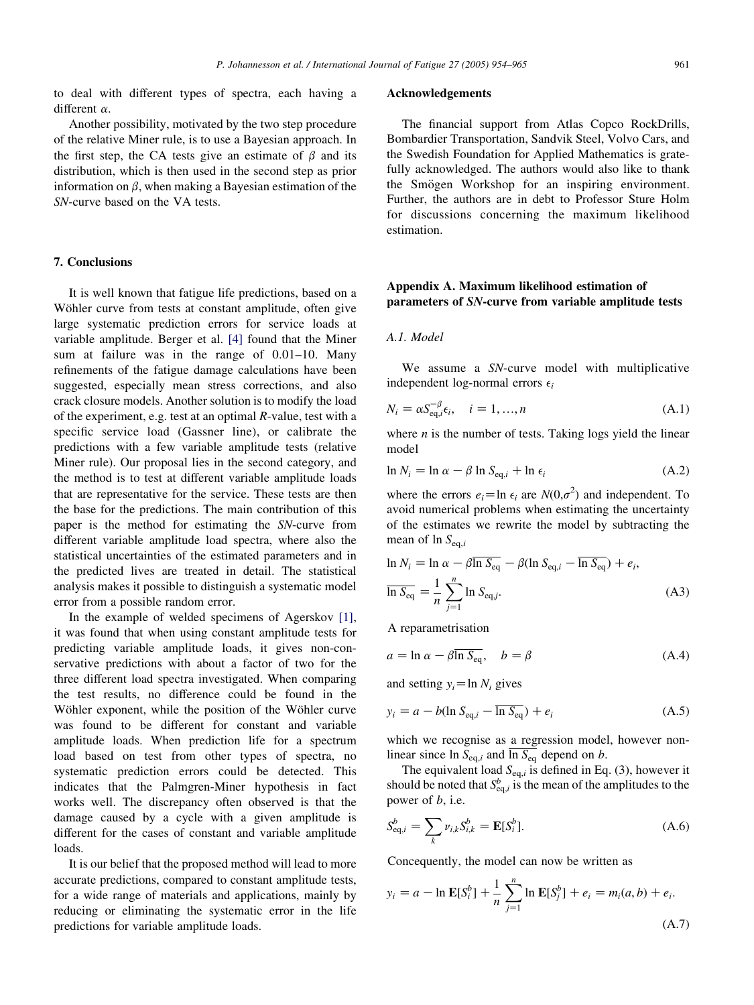to deal with different types of spectra, each having a different  $\alpha$ .

Another possibility, motivated by the two step procedure of the relative Miner rule, is to use a Bayesian approach. In the first step, the CA tests give an estimate of  $\beta$  and its distribution, which is then used in the second step as prior information on  $\beta$ , when making a Bayesian estimation of the SN-curve based on the VA tests.

# 7. Conclusions

It is well known that fatigue life predictions, based on a Wöhler curve from tests at constant amplitude, often give large systematic prediction errors for service loads at variable amplitude. Berger et al. [\[4\]](#page-10-0) found that the Miner sum at failure was in the range of 0.01–10. Many refinements of the fatigue damage calculations have been suggested, especially mean stress corrections, and also crack closure models. Another solution is to modify the load of the experiment, e.g. test at an optimal R-value, test with a specific service load (Gassner line), or calibrate the predictions with a few variable amplitude tests (relative Miner rule). Our proposal lies in the second category, and the method is to test at different variable amplitude loads that are representative for the service. These tests are then the base for the predictions. The main contribution of this paper is the method for estimating the SN-curve from different variable amplitude load spectra, where also the statistical uncertainties of the estimated parameters and in the predicted lives are treated in detail. The statistical analysis makes it possible to distinguish a systematic model error from a possible random error.

In the example of welded specimens of Agerskov [\[1\]](#page-10-0), it was found that when using constant amplitude tests for predicting variable amplitude loads, it gives non-conservative predictions with about a factor of two for the three different load spectra investigated. When comparing the test results, no difference could be found in the Wöhler exponent, while the position of the Wöhler curve was found to be different for constant and variable amplitude loads. When prediction life for a spectrum load based on test from other types of spectra, no systematic prediction errors could be detected. This indicates that the Palmgren-Miner hypothesis in fact works well. The discrepancy often observed is that the damage caused by a cycle with a given amplitude is different for the cases of constant and variable amplitude loads.

It is our belief that the proposed method will lead to more accurate predictions, compared to constant amplitude tests, for a wide range of materials and applications, mainly by reducing or eliminating the systematic error in the life predictions for variable amplitude loads.

# Acknowledgements

The financial support from Atlas Copco RockDrills, Bombardier Transportation, Sandvik Steel, Volvo Cars, and the Swedish Foundation for Applied Mathematics is gratefully acknowledged. The authors would also like to thank the Smögen Workshop for an inspiring environment. Further, the authors are in debt to Professor Sture Holm for discussions concerning the maximum likelihood estimation.

# Appendix A. Maximum likelihood estimation of parameters of SN-curve from variable amplitude tests

#### A.1. Model

We assume a SN-curve model with multiplicative independent log-normal errors  $\epsilon_i$ 

$$
N_i = \alpha S_{\text{eq},i}^{-\beta} \epsilon_i, \quad i = 1,...,n
$$
\n(A.1)

where  $n$  is the number of tests. Taking logs yield the linear model

$$
\ln N_i = \ln \alpha - \beta \ln S_{\text{eq},i} + \ln \epsilon_i \tag{A.2}
$$

where the errors  $e_i = \ln \epsilon_i$  are  $N(0,\sigma^2)$  and independent. To avoid numerical problems when estimating the uncertainty of the estimates we rewrite the model by subtracting the mean of ln  $S_{eq,i}$ 

$$
\ln N_i = \ln \alpha - \beta \overline{\ln S_{eq}} - \beta (\ln S_{eq,i} - \overline{\ln S_{eq}}) + e_i,
$$
  

$$
\overline{\ln S_{eq}} = \frac{1}{n} \sum_{j=1}^{n} \ln S_{eq,j}.
$$
 (A3)

A reparametrisation

$$
a = \ln \alpha - \beta \overline{\ln S_{eq}}, \quad b = \beta \tag{A.4}
$$

and setting  $y_i = \ln N_i$  gives

$$
y_i = a - b(\ln S_{\text{eq},i} - \overline{\ln S_{\text{eq}}}) + e_i
$$
 (A.5)

which we recognise as a regression model, however nonlinear since  $\ln S_{eq,i}$  and  $\overline{\ln S_{eq}}$  depend on b.

The equivalent load  $S_{eq,i}$  is defined in Eq. (3), however it should be noted that  $S_{eq,i}^b$  is the mean of the amplitudes to the power of *b*, i.e.

$$
S_{\text{eq},i}^{b} = \sum_{k} \nu_{i,k} S_{i,k}^{b} = \mathbf{E}[S_{i}^{b}].
$$
 (A.6)

Concequently, the model can now be written as

$$
y_i = a - \ln \mathbf{E}[S_i^b] + \frac{1}{n} \sum_{j=1}^n \ln \mathbf{E}[S_j^b] + e_i = m_i(a, b) + e_i.
$$
\n(A.7)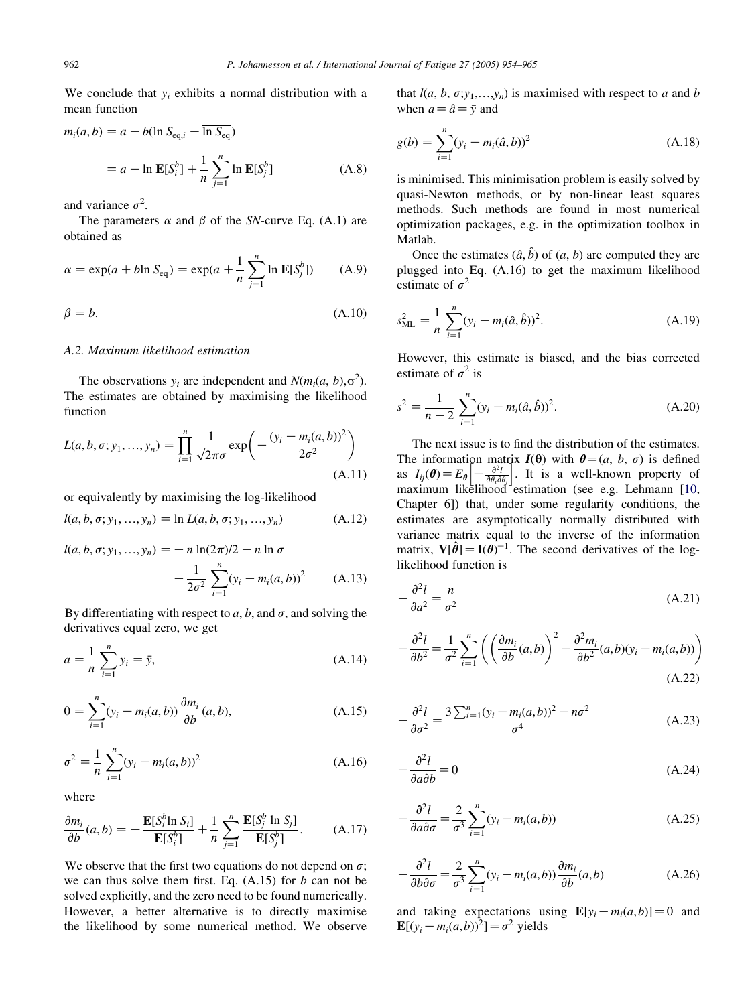We conclude that  $y_i$  exhibits a normal distribution with a mean function

$$
m_i(a, b) = a - b(\ln S_{\text{eq},i} - \overline{\ln S_{\text{eq}}})
$$
  
=  $a - \ln \mathbf{E}[S_i^b] + \frac{1}{n} \sum_{j=1}^n \ln \mathbf{E}[S_j^b]$  (A.8)

and variance  $\sigma^2$ .

The parameters  $\alpha$  and  $\beta$  of the SN-curve Eq. (A.1) are obtained as

$$
\alpha = \exp(a + b\overline{\ln S_{eq}}) = \exp(a + \frac{1}{n} \sum_{j=1}^{n} \ln \mathbf{E}[S_j^b])
$$
 (A.9)

$$
\beta = b. \tag{A.10}
$$

## A.2. Maximum likelihood estimation

The observations  $y_i$  are independent and  $N(m_i(a, b), \sigma^2)$ . The estimates are obtained by maximising the likelihood function

$$
L(a, b, \sigma; y_1, ..., y_n) = \prod_{i=1}^n \frac{1}{\sqrt{2\pi}\sigma} \exp\left(-\frac{(y_i - m_i(a, b))^2}{2\sigma^2}\right)
$$
\n(A.11)

or equivalently by maximising the log-likelihood

$$
l(a, b, \sigma; y_1, ..., y_n) = \ln L(a, b, \sigma; y_1, ..., y_n)
$$
 (A.12)

$$
l(a, b, \sigma; y_1, ..., y_n) = -n \ln(2\pi)/2 - n \ln \sigma
$$

$$
- \frac{1}{2\sigma^2} \sum_{i=1}^n (y_i - m_i(a, b))^2 \qquad (A.13)
$$

By differentiating with respect to a, b, and  $\sigma$ , and solving the derivatives equal zero, we get

$$
a = \frac{1}{n} \sum_{i=1}^{n} y_i = \bar{y}, \tag{A.14}
$$

$$
0 = \sum_{i=1}^{n} (y_i - m_i(a, b)) \frac{\partial m_i}{\partial b}(a, b),
$$
 (A.15)

$$
\sigma^2 = \frac{1}{n} \sum_{i=1}^n (y_i - m_i(a, b))^2
$$
 (A.16)

where

$$
\frac{\partial m_i}{\partial b}(a,b) = -\frac{\mathbf{E}[S_i^b \ln S_i]}{\mathbf{E}[S_i^b]} + \frac{1}{n} \sum_{j=1}^n \frac{\mathbf{E}[S_j^b \ln S_j]}{\mathbf{E}[S_j^b]}.
$$
(A.17)

We observe that the first two equations do not depend on  $\sigma$ ; we can thus solve them first. Eq.  $(A.15)$  for b can not be solved explicitly, and the zero need to be found numerically. However, a better alternative is to directly maximise the likelihood by some numerical method. We observe that  $l(a, b, \sigma; y_1,...,y_n)$  is maximised with respect to a and b when  $a=\hat{a}=\overline{v}$  and

$$
g(b) = \sum_{i=1}^{n} (y_i - m_i(\hat{a}, b))^2
$$
 (A.18)

is minimised. This minimisation problem is easily solved by quasi-Newton methods, or by non-linear least squares methods. Such methods are found in most numerical optimization packages, e.g. in the optimization toolbox in Matlab.

Once the estimates  $(\hat{a}, \hat{b})$  of  $(a, b)$  are computed they are plugged into Eq. (A.16) to get the maximum likelihood estimate of  $\sigma^2$ 

$$
s_{\rm ML}^2 = \frac{1}{n} \sum_{i=1}^n (y_i - m_i(\hat{a}, \hat{b}))^2.
$$
 (A.19)

However, this estimate is biased, and the bias corrected estimate of  $\sigma^2$  is

$$
s^{2} = \frac{1}{n-2} \sum_{i=1}^{n} (y_{i} - m_{i}(\hat{a}, \hat{b}))^{2}.
$$
 (A.20)

The next issue is to find the distribution of the estimates. The information matrix  $I(\theta)$  with  $\theta = (a, b, \sigma)$  is defined The information matrix  $I(\theta)$  with  $\theta = (a, b, \sigma)$  is defined<br>as  $I_{ij}(\theta) = E_{\theta} \left[ -\frac{\partial^2 I}{\partial \theta_i \partial \theta_j} \right]$ . It is a well-known property of maximum likelihood estimation (see e.g. Lehmann [\[10](#page-11-0), Chapter 6]) that, under some regularity conditions, the estimates are asymptotically normally distributed with variance matrix equal to the inverse of the information matrix,  $V[\hat{\theta}] = I(\theta)^{-1}$ . The second derivatives of the loglikelihood function is

$$
-\frac{\partial^2 l}{\partial a^2} = \frac{n}{\sigma^2} \tag{A.21}
$$

$$
-\frac{\partial^2 l}{\partial b^2} = \frac{1}{\sigma^2} \sum_{i=1}^n \left( \left( \frac{\partial m_i}{\partial b} (a, b) \right)^2 - \frac{\partial^2 m_i}{\partial b^2} (a, b) (y_i - m_i(a, b)) \right)
$$
\n(A.22)

$$
-\frac{\partial^2 l}{\partial \sigma^2} = \frac{3\sum_{i=1}^n (y_i - m_i(a, b))^2 - n\sigma^2}{\sigma^4}
$$
 (A.23)

$$
-\frac{\partial^2 l}{\partial a \partial b} = 0\tag{A.24}
$$

$$
-\frac{\partial^2 l}{\partial a \partial \sigma} = \frac{2}{\sigma^3} \sum_{i=1}^n (y_i - m_i(a, b))
$$
 (A.25)

$$
-\frac{\partial^2 l}{\partial b \partial \sigma} = \frac{2}{\sigma^3} \sum_{i=1}^n (y_i - m_i(a, b)) \frac{\partial m_i}{\partial b}(a, b)
$$
 (A.26)

and taking expectations using  $\mathbf{E}[y_i - m_i(a, b)] = 0$  and  $\mathbf{E}[(y_i - m_i(a, b))^2] = \sigma^2$  yields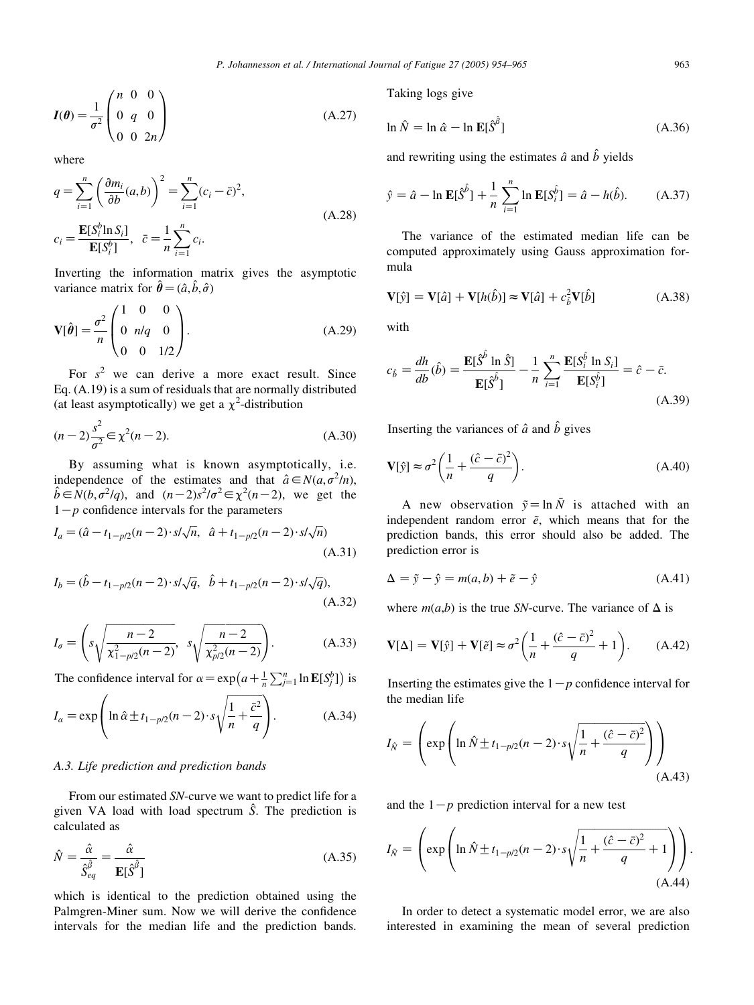$$
I(\theta) = \frac{1}{\sigma^2} \begin{pmatrix} n & 0 & 0 \\ 0 & q & 0 \\ 0 & 0 & 2n \end{pmatrix}
$$
 (A.27)

where

$$
q = \sum_{i=1}^{n} \left( \frac{\partial m_i}{\partial b} (a, b) \right)^2 = \sum_{i=1}^{n} (c_i - \bar{c})^2,
$$
  

$$
c_i = \frac{\mathbf{E}[S_i^b \ln S_i]}{\mathbf{E}[S_i^b]}, \quad \bar{c} = \frac{1}{n} \sum_{i=1}^{n} c_i.
$$
 (A.28)

Inverting the information matrix gives the asymptotic variance matrix for  $\hat{\theta} = (\hat{a}, \hat{b}, \hat{\sigma})$ 

$$
\mathbf{V}[\hat{\boldsymbol{\theta}}] = \frac{\sigma^2}{n} \begin{pmatrix} 1 & 0 & 0 \\ 0 & n/q & 0 \\ 0 & 0 & 1/2 \end{pmatrix} .
$$
 (A.29)

For  $s^2$  we can derive a more exact result. Since Eq. (A.19) is a sum of residuals that are normally distributed (at least asymptotically) we get a  $\chi^2$ -distribution

$$
(n-2)\frac{s^2}{\sigma^2} \in \chi^2(n-2). \tag{A.30}
$$

By assuming what is known asymptotically, i.e. independence of the estimates and that  $\hat{a} \in N(a, \sigma^2/n)$ ,  $\hat{b} \in N(b, \sigma^2/q)$ , and  $(n-2)s^2/\sigma^2 \in \chi^2(n-2)$ , we get the  $1-p$  confidence intervals for the parameters

$$
I_a = (\hat{a} - t_{1-p/2}(n-2) \cdot s/\sqrt{n}, \ \hat{a} + t_{1-p/2}(n-2) \cdot s/\sqrt{n})
$$
\n(A.31)

$$
I_b = (\hat{b} - t_{1-p/2}(n-2) \cdot s/\sqrt{q}, \ \hat{b} + t_{1-p/2}(n-2) \cdot s/\sqrt{q}),
$$
\n(A.32)

$$
I_{\sigma} = \left(s\sqrt{\frac{n-2}{\chi_{1-p/2}^2(n-2)}}, \ s\sqrt{\frac{n-2}{\chi_{p/2}^2(n-2)}}\right).
$$
 (A.33)

The confidence interval for  $\alpha = \exp\left(a + \frac{1}{n} \sum_{j=1}^{n} \ln \mathbf{E}[S_j^b]\right)$  is

$$
I_{\alpha} = \exp\left(\ln \hat{\alpha} \pm t_{1-p/2}(n-2) \cdot s \sqrt{\frac{1}{n} + \frac{\bar{c}^2}{q}}\right). \tag{A.34}
$$

#### A.3. Life prediction and prediction bands

From our estimated SN-curve we want to predict life for a given VA load with load spectrum  $\hat{S}$ . The prediction is calculated as

$$
\hat{N} = \frac{\hat{\alpha}}{\hat{S}_{eq}^{\hat{\beta}}} = \frac{\hat{\alpha}}{\mathbf{E}[\hat{S}^{\hat{\beta}}]}
$$
(A.35)

which is identical to the prediction obtained using the Palmgren-Miner sum. Now we will derive the confidence intervals for the median life and the prediction bands. Taking logs give

$$
\ln \hat{N} = \ln \hat{\alpha} - \ln \mathbf{E}[\hat{S}^{\hat{\beta}}]
$$
 (A.36)

and rewriting using the estimates  $\hat{a}$  and  $\hat{b}$  yields

$$
\hat{y} = \hat{a} - \ln \mathbf{E}[\hat{S}^{\hat{b}}] + \frac{1}{n} \sum_{i=1}^{n} \ln \mathbf{E}[S_i^{\hat{b}}] = \hat{a} - h(\hat{b}). \tag{A.37}
$$

The variance of the estimated median life can be computed approximately using Gauss approximation formula

$$
\mathbf{V}[\hat{y}] = \mathbf{V}[\hat{a}] + \mathbf{V}[h(\hat{b})] \approx \mathbf{V}[\hat{a}] + c_{\hat{b}}^2 \mathbf{V}[\hat{b}]
$$
 (A.38)

with

$$
c_{\hat{b}} = \frac{dh}{db}(\hat{b}) = \frac{\mathbf{E}[\hat{S}^{\hat{b}} \ln \hat{S}]}{\mathbf{E}[\hat{S}^{\hat{b}}]} - \frac{1}{n} \sum_{i=1}^{n} \frac{\mathbf{E}[S_i^{\hat{b}} \ln S_i]}{\mathbf{E}[S_i^{\hat{b}}]} = \hat{c} - \bar{c}.
$$
\n(A.39)

Inserting the variances of  $\hat{a}$  and  $\hat{b}$  gives

$$
\mathbf{V}[\hat{y}] \approx \sigma^2 \left( \frac{1}{n} + \frac{(\hat{c} - \bar{c})^2}{q} \right). \tag{A.40}
$$

A new observation  $\tilde{y} = \ln \tilde{N}$  is attached with an independent random error  $\tilde{e}$ , which means that for the prediction bands, this error should also be added. The prediction error is

$$
\Delta = \tilde{y} - \hat{y} = m(a, b) + \tilde{e} - \hat{y}
$$
 (A.41)

where  $m(a,b)$  is the true SN-curve. The variance of  $\Delta$  is

$$
\mathbf{V}[\Delta] = \mathbf{V}[\hat{y}] + \mathbf{V}[\tilde{e}] \approx \sigma^2 \left(\frac{1}{n} + \frac{(\hat{c} - \bar{c})^2}{q} + 1\right). \tag{A.42}
$$

Inserting the estimates give the  $1-p$  confidence interval for the median life

$$
I_{\hat{N}} = \left( \exp\left( \ln \hat{N} \pm t_{1-p/2} (n-2) \cdot s \sqrt{\frac{1}{n} + \frac{(\hat{c} - \bar{c})^2}{q}} \right) \right)
$$
(A.43)

and the  $1-p$  prediction interval for a new test

$$
I_{\tilde{N}} = \left(\exp\left(\ln \hat{N} \pm t_{1-p/2}(n-2) \cdot s \sqrt{\frac{1}{n} + \frac{(\hat{c} - \bar{c})^2}{q} + 1}\right)\right).
$$
\n(A.44)

In order to detect a systematic model error, we are also interested in examining the mean of several prediction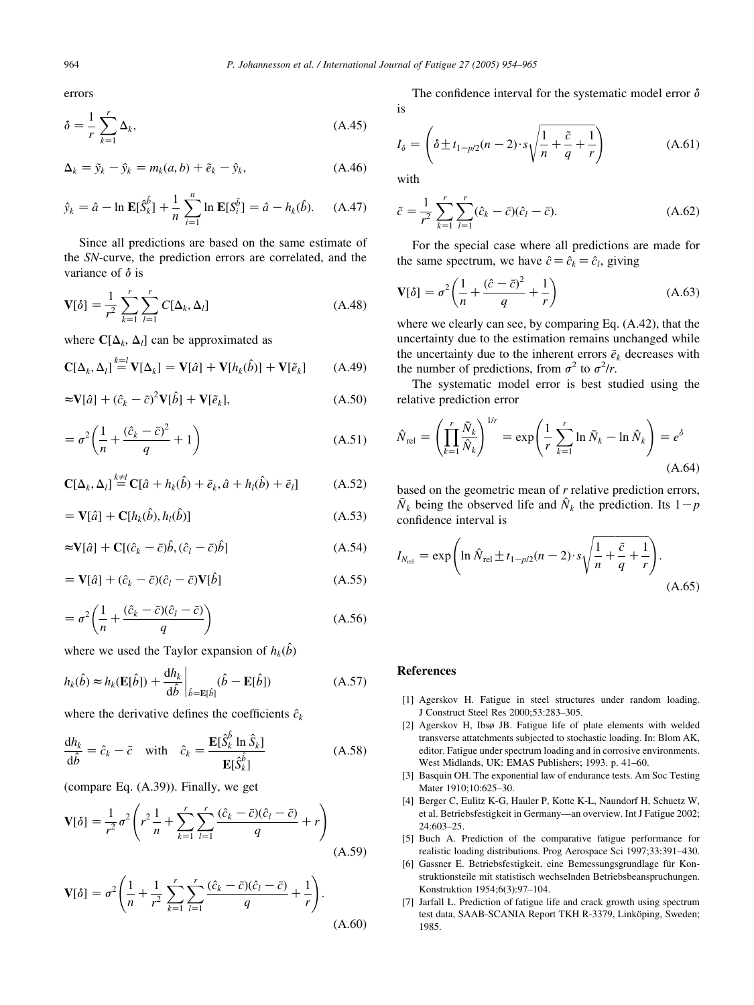<span id="page-10-0"></span>errors

$$
\delta = \frac{1}{r} \sum_{k=1}^{r} \Delta_k,\tag{A.45}
$$

$$
\Delta_k = \tilde{y}_k - \hat{y}_k = m_k(a, b) + \tilde{e}_k - \hat{y}_k,
$$
\n(A.46)

$$
\hat{y}_k = \hat{a} - \ln \mathbf{E}[\hat{S}_k^{\hat{b}}] + \frac{1}{n} \sum_{i=1}^n \ln \mathbf{E}[S_i^{\hat{b}}] = \hat{a} - h_k(\hat{b}). \quad (A.47)
$$

Since all predictions are based on the same estimate of the SN-curve, the prediction errors are correlated, and the variance of  $\delta$  is

$$
\mathbf{V}[\delta] = \frac{1}{r^2} \sum_{k=1}^{r} \sum_{l=1}^{r} C[\Delta_k, \Delta_l]
$$
 (A.48)

where  $C[\Delta_k, \Delta_l]$  can be approximated as

$$
\mathbf{C}[\Delta_k, \Delta_l] \stackrel{k=l}{=} \mathbf{V}[\Delta_k] = \mathbf{V}[\hat{a}] + \mathbf{V}[h_k(\hat{b})] + \mathbf{V}[\tilde{e}_k] \tag{A.49}
$$

$$
\approx \mathbf{V}[\hat{a}] + (\hat{c}_k - \bar{c})^2 \mathbf{V}[\hat{b}] + \mathbf{V}[\tilde{e}_k],\tag{A.50}
$$

$$
= \sigma^2 \left( \frac{1}{n} + \frac{(\hat{c}_k - \bar{c})^2}{q} + 1 \right)
$$
 (A.51)

$$
\mathbf{C}[\Delta_k, \Delta_l] \stackrel{k \neq l}{=} \mathbf{C}[\hat{a} + h_k(\hat{b}) + \tilde{e}_k, \hat{a} + h_l(\hat{b}) + \tilde{e}_l] \tag{A.52}
$$

$$
= \mathbf{V}[\hat{a}] + \mathbf{C}[h_k(\hat{b}), h_l(\hat{b})]
$$
(A.53)

$$
\approx \mathbf{V}[\hat{a}] + \mathbf{C}[(\hat{c}_k - \bar{c})\hat{b}, (\hat{c}_l - \bar{c})\hat{b}]
$$
 (A.54)

$$
= \mathbf{V}[\hat{a}] + (\hat{c}_k - \bar{c})(\hat{c}_l - \bar{c})\mathbf{V}[\hat{b}]
$$
 (A.55)

$$
= \sigma^2 \left( \frac{1}{n} + \frac{(\hat{c}_k - \bar{c})(\hat{c}_l - \bar{c})}{q} \right) \tag{A.56}
$$

where we used the Taylor expansion of  $h_k(\hat{b})$ 

$$
h_k(\hat{b}) \approx h_k(\mathbf{E}[\hat{b}]) + \frac{\mathrm{d}h_k}{\mathrm{d}\hat{b}}\bigg|_{\hat{b} = \mathbf{E}[\hat{b}]}(\hat{b} - \mathbf{E}[\hat{b}])\tag{A.57}
$$

where the derivative defines the coefficients  $\hat{c}_k$ 

$$
\frac{dh_k}{d\hat{b}} = \hat{c}_k - \bar{c} \quad \text{with} \quad \hat{c}_k = \frac{\mathbf{E}[\hat{S}_k^{\hat{b}} \ln \hat{S}_k]}{\mathbf{E}[\hat{S}_k^{\hat{b}}]}
$$
(A.58)

(compare Eq. (A.39)). Finally, we get

$$
\mathbf{V}[\delta] = \frac{1}{r^2} \sigma^2 \left( r^2 \frac{1}{n} + \sum_{k=1}^r \sum_{l=1}^r \frac{(\hat{c}_k - \bar{c})(\hat{c}_l - \bar{c})}{q} + r \right)
$$
(A.59)

$$
\mathbf{V}[\delta] = \sigma^2 \left( \frac{1}{n} + \frac{1}{r^2} \sum_{k=1}^r \sum_{l=1}^r \frac{(\hat{c}_k - \bar{c})(\hat{c}_l - \bar{c})}{q} + \frac{1}{r} \right).
$$
(A.60)

The confidence interval for the systematic model error  $\delta$ is

$$
I_{\delta} = \left(\delta \pm t_{1-p/2}(n-2) \cdot s \sqrt{\frac{1}{n} + \frac{\tilde{c}}{q} + \frac{1}{r}}\right) \tag{A.61}
$$

with

$$
\tilde{c} = \frac{1}{r^2} \sum_{k=1}^{r} \sum_{l=1}^{r} (\hat{c}_k - \bar{c})(\hat{c}_l - \bar{c}).
$$
 (A.62)

For the special case where all predictions are made for the same spectrum, we have  $\hat{c} = \hat{c}_k = \hat{c}_l$ , giving

$$
\mathbf{V}[\delta] = \sigma^2 \left( \frac{1}{n} + \frac{(\hat{c} - \bar{c})^2}{q} + \frac{1}{r} \right) \tag{A.63}
$$

where we clearly can see, by comparing Eq. (A.42), that the uncertainty due to the estimation remains unchanged while the uncertainty due to the inherent errors  $\tilde{e}_k$  decreases with the number of predictions, from  $\sigma^2$  to  $\sigma^2/r$ .

The systematic model error is best studied using the relative prediction error

$$
\hat{N}_{\text{rel}} = \left(\prod_{k=1}^{r} \frac{\tilde{N}_k}{\hat{N}_k}\right)^{1/r} = \exp\left(\frac{1}{r} \sum_{k=1}^{r} \ln \tilde{N}_k - \ln \hat{N}_k\right) = e^{\delta} \tag{A.64}
$$

based on the geometric mean of  $r$  relative prediction errors,  $\tilde{N}_k$  being the observed life and  $\hat{N}_k$  the prediction. Its  $1-p$ confidence interval is

$$
I_{N_{\rm rel}} = \exp\left(\ln \hat{N}_{\rm rel} \pm t_{1-p/2}(n-2) \cdot s \sqrt{\frac{1}{n} + \frac{\tilde{c}}{q} + \frac{1}{r}}\right). \tag{A.65}
$$

#### References

- [1] Agerskov H. Fatigue in steel structures under random loading. J Construct Steel Res 2000;53:283–305.
- [2] Agerskov H, Ibsø JB. Fatigue life of plate elements with welded transverse attatchments subjected to stochastic loading. In: Blom AK, editor. Fatigue under spectrum loading and in corrosive environments. West Midlands, UK: EMAS Publishers; 1993. p. 41–60.
- [3] Basquin OH. The exponential law of endurance tests. Am Soc Testing Mater 1910;10:625–30.
- [4] Berger C, Eulitz K-G, Hauler P, Kotte K-L, Naundorf H, Schuetz W, et al. Betriebsfestigkeit in Germany—an overview. Int J Fatigue 2002; 24:603–25.
- [5] Buch A. Prediction of the comparative fatigue performance for realistic loading distributions. Prog Aerospace Sci 1997;33:391–430.
- [6] Gassner E. Betriebsfestigkeit, eine Bemessungsgrundlage für Konstruktionsteile mit statistisch wechselnden Betriebsbeanspruchungen. Konstruktion 1954;6(3):97–104.
- [7] Jarfall L. Prediction of fatigue life and crack growth using spectrum test data, SAAB-SCANIA Report TKH R-3379, Linköping, Sweden; 1985.